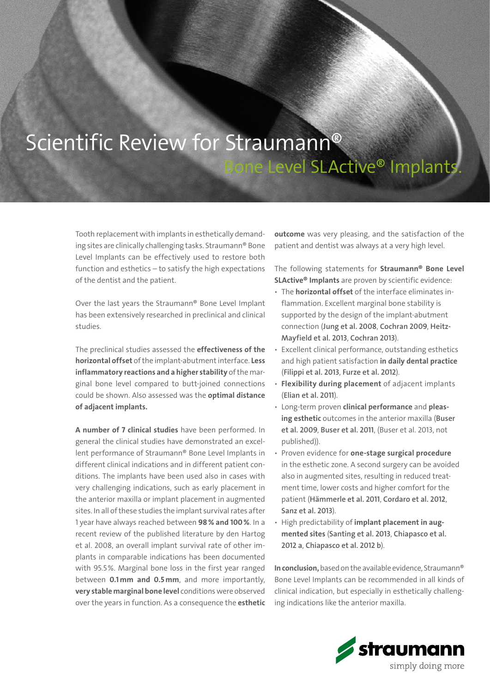## Scientific Review for Straumann® Level SLActive® Implants.

Tooth replacement with implants in esthetically demanding sites are clinically challenging tasks. Straumann® Bone Level Implants can be effectively used to restore both function and esthetics – to satisfy the high expectations of the dentist and the patient.

Over the last years the Straumann® Bone Level Implant has been extensively researched in preclinical and clinical studies.

The preclinical studies assessed the effectiveness of the horizontal offset of the implant-abutment interface. Less inflammatory reactions and a higher stability of the marginal bone level compared to butt-joined connections could be shown. Also assessed was the **optimal distance** of adjacent implants.

A number of 7 clinical studies have been performed. In general the clinical studies have demonstrated an excellent performance of Straumann® Bone Level Implants in different clinical indications and in different patient conditions. The implants have been used also in cases with very challenging indications, such as early placement in the anterior maxilla or implant placement in augmented sites. In all of these studies the implant survival rates after 1 year have always reached between 98% and 100%. In a recent review of the published literature by den Hartog et al. 2008, an overall implant survival rate of other implants in comparable indications has been documented with 95.5%. Marginal bone loss in the first year ranged between 0.1mm and 0.5mm, and more importantly, very stable marginal bone level conditions were observed over the years in function. As a consequence the esthetic

outcome was very pleasing, and the satisfaction of the patient and dentist was always at a very high level.

The following statements for Straumann® Bone Level SLActive® Implants are proven by scientific evidence:

- The **horizontal offset** of the interface eliminates inflammation. Excellent marginal bone stability is supported by the design of the implant-abutment connection ([Jung et al. 2008](http://www.ncbi.nlm.nih.gov/pubmed/18251640), [Cochran 2009](http://www.ncbi.nlm.nih.gov/pubmed/19335081), [Heitz-](http://www.ncbi.nlm.nih.gov/pubmed/22713156)[Mayfield et al. 2013](http://www.ncbi.nlm.nih.gov/pubmed/22713156), [Cochran 2013](http://www.ncbi.nlm.nih.gov/pubmed/23527352)).
- Excellent clinical performance, outstanding esthetics and high patient satisfaction in daily dental practice ([Filippi et al. 2013](http://www.ncbi.nlm.nih.gov/pubmed/23616977), [Furze et al. 2012](http://www.ncbi.nlm.nih.gov/pubmed/22257874)).
- Flexibility during placement of adjacent implants ([Elian et al. 2011](http://www.ncbi.nlm.nih.gov/pubmed/21513475)).
- Long-term proven clinical performance and pleasing esthetic outcomes in the anterior maxilla (Buser [et al. 2009](http://www.ncbi.nlm.nih.gov/pubmed/19228101), [Buser et al. 2011](http://www.ncbi.nlm.nih.gov/pubmed/20831371), (Buser et al. 2013, not published)).
- Proven evidence for one-stage surgical procedure in the esthetic zone. A second surgery can be avoided also in augmented sites, resulting in reduced treatment time, lower costs and higher comfort for the patient ([Hämmerle et al. 2011](http://www.ncbi.nlm.nih.gov/pubmed/21722188), [Cordaro et al. 2012](http://www.ncbi.nlm.nih.gov/pubmed/22697581), [Sanz et al. 2013](http://www.ncbi.nlm.nih.gov/pubmed/23837502)).
- High predictability of implant placement in augmented sites ([Santing et al. 2013](http://www.ncbi.nlm.nih.gov/pubmed/22540833), [Chiapasco et al.](http://www.ncbi.nlm.nih.gov/pubmed/22092480)  [2012 a](http://www.ncbi.nlm.nih.gov/pubmed/22092480), [Chiapasco et al. 2012 b](http://www.ncbi.nlm.nih.gov/pubmed/22494433)).

In conclusion, based on the available evidence, Straumann® Bone Level Implants can be recommended in all kinds of clinical indication, but especially in esthetically challenging indications like the anterior maxilla.